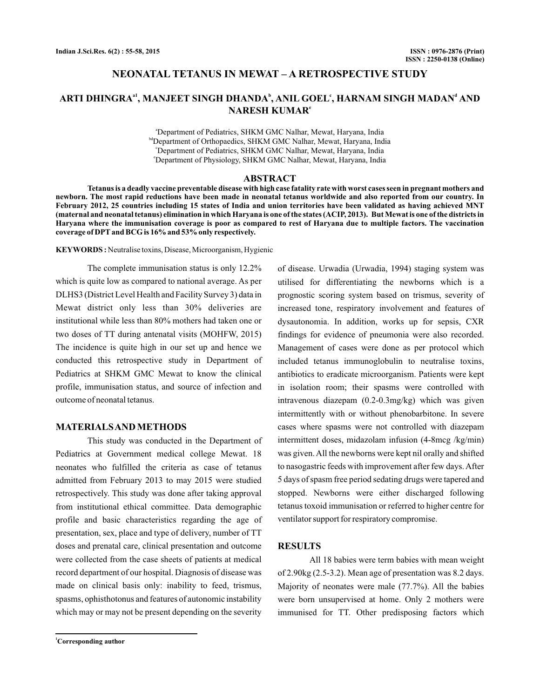# **NEONATAL TETANUS IN MEWAT – A RETROSPECTIVE STUDY**

# ARTI DHINGRA $^{\mathrm{a1}}$ , MANJEET SINGH DHANDA $^{\mathrm{b}}$ , ANIL GOEL', HARNAM SINGH MADAN $^{\mathrm{d}}$  AND **NARESH KUMAR e**

a Department of Pediatrics, SHKM GMC Nalhar, Mewat, Haryana, India bdDepartment of Orthopaedics, SHKM GMC Nalhar, Mewat, Haryana, India c Department of Pediatrics, SHKM GMC Nalhar, Mewat, Haryana, India e Department of Physiology, SHKM GMC Nalhar, Mewat, Haryana, India

### **ABSTRACT**

**Tetanus is a deadly vaccine preventable disease with high case fatality rate with worst cases seen in pregnant mothers and newborn. The most rapid reductions have been made in neonatal tetanus worldwide and also reported from our country. In February 2012, 25 countries including 15 states of India and union territories have been validated as having achieved MNT (maternal and neonatal tetanus) elimination in which Haryana is one of the states (ACIP, 2013). But Mewat is one of the districts in Haryana where the immunisation coverage is poor as compared to rest of Haryana due to multiple factors. The vaccination coverage of DPT and BCG is 16% and 53% only respectively.**

**KEYWORDS :** Neutralise toxins, Disease, Microorganism, Hygienic

The complete immunisation status is only 12.2% which is quite low as compared to national average. As per DLHS3 (District Level Health and Facility Survey 3) data in Mewat district only less than 30% deliveries are institutional while less than 80% mothers had taken one or two doses of TT during antenatal visits (MOHFW, 2015) The incidence is quite high in our set up and hence we conducted this retrospective study in Department of Pediatrics at SHKM GMC Mewat to know the clinical profile, immunisation status, and source of infection and outcome of neonatal tetanus.

# **MATERIALSAND METHODS**

This study was conducted in the Department of Pediatrics at Government medical college Mewat. 18 neonates who fulfilled the criteria as case of tetanus admitted from February 2013 to may 2015 were studied retrospectively. This study was done after taking approval from institutional ethical committee. Data demographic profile and basic characteristics regarding the age of presentation, sex, place and type of delivery, number of TT doses and prenatal care, clinical presentation and outcome were collected from the case sheets of patients at medical record department of our hospital. Diagnosis of disease was made on clinical basis only: inability to feed, trismus, spasms, ophisthotonus and features of autonomic instability which may or may not be present depending on the severity

increased tone, respiratory involvement and features of dysautonomia. In addition, works up for sepsis, CXR findings for evidence of pneumonia were also recorded. Management of cases were done as per protocol which included tetanus immunoglobulin to neutralise toxins, antibiotics to eradicate microorganism. Patients were kept in isolation room; their spasms were controlled with intravenous diazepam (0.2-0.3mg/kg) which was given intermittently with or without phenobarbitone. In severe cases where spasms were not controlled with diazepam intermittent doses, midazolam infusion (4-8mcg /kg/min) was given. All the newborns were kept nil orally and shifted to nasogastric feeds with improvement after few days.After 5 days of spasm free period sedating drugs were tapered and stopped. Newborns were either discharged following tetanus toxoid immunisation or referred to higher centre for ventilator support for respiratory compromise.

of disease. Urwadia (Urwadia, 1994) staging system was utilised for differentiating the newborns which is a prognostic scoring system based on trismus, severity of

### **RESULTS**

All 18 babies were term babies with mean weight of 2.90kg (2.5-3.2). Mean age of presentation was 8.2 days. Majority of neonates were male (77.7%). All the babies were born unsupervised at home. Only 2 mothers were immunised for TT. Other predisposing factors which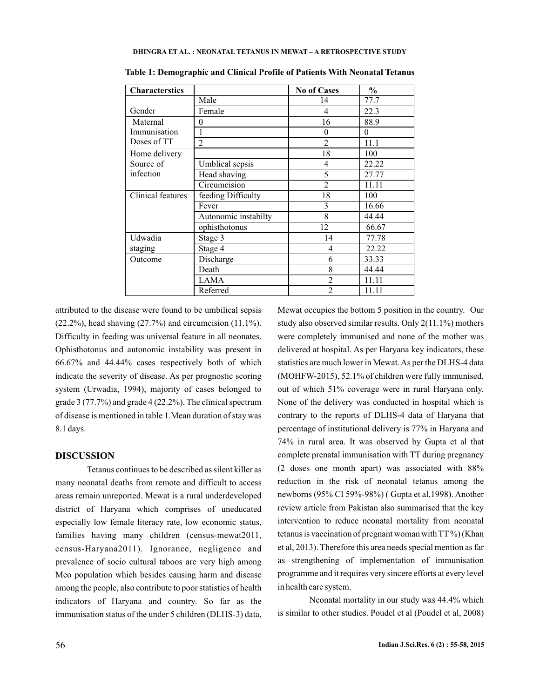| <b>Characterstics</b> |                      | <b>No of Cases</b>       | $\frac{0}{0}$ |
|-----------------------|----------------------|--------------------------|---------------|
|                       | Male                 | 14                       | 77.7          |
| Gender                | Female               | 4                        | 22.3          |
| Maternal              | 0                    | 16                       | 88.9          |
| Immunisation          |                      | 0                        | $\theta$      |
| Doses of TT           | $\mathfrak{D}$       | $\overline{c}$           | 11.1          |
| Home delivery         |                      | 18                       | 100           |
| Source of             | Umblical sepsis      | 4                        | 22.22         |
| infection             | Head shaving         | 5                        | 27.77         |
|                       | Circumcision         | $\mathfrak{D}$           | 11.11         |
| Clinical features     | feeding Difficulty   | 18                       | 100           |
|                       | Fever                | 3                        | 16.66         |
|                       | Autonomic instabilty | 8                        | 44.44         |
|                       | ophisthotonus        | 12                       | 66.67         |
| Udwadia               | Stage 3              | 14                       | 77.78         |
| staging               | Stage 4              | 4                        | 22.22         |
| Outcome               | Discharge            | 6                        | 33.33         |
|                       | Death                | 8                        | 44.44         |
|                       | <b>LAMA</b>          | $\overline{2}$           | 11.11         |
|                       | Referred             | $\mathfrak{D}_{1}^{(1)}$ | 11.11         |

**Table 1: Demographic and Clinical Profile of Patients With Neonatal Tetanus**

attributed to the disease were found to be umbilical sepsis  $(22.2\%)$ , head shaving  $(27.7\%)$  and circumcision  $(11.1\%)$ . Difficulty in feeding was universal feature in all neonates. Ophisthotonus and autonomic instability was present in 66.67% and 44.44% cases respectively both of which indicate the severity of disease. As per prognostic scoring system (Urwadia, 1994), majority of cases belonged to grade 3 (77.7%) and grade 4 (22.2%). The clinical spectrum of disease is mentioned in table 1.Mean duration of stay was 8.1 days.

## **DISCUSSION**

Tetanus continues to be described as silent killer as many neonatal deaths from remote and difficult to access areas remain unreported. Mewat is a rural underdeveloped district of Haryana which comprises of uneducated especially low female literacy rate, low economic status, families having many children (census-mewat2011, census-Haryana2011). Ignorance, negligence and prevalence of socio cultural taboos are very high among Meo population which besides causing harm and disease among the people, also contribute to poor statistics of health indicators of Haryana and country. So far as the immunisation status of the under 5 children (DLHS-3) data,

Mewat occupies the bottom 5 position in the country. Our study also observed similar results. Only 2(11.1%) mothers were completely immunised and none of the mother was delivered at hospital. As per Haryana key indicators, these statistics are much lower in Mewat.As per the DLHS-4 data (MOHFW-2015), 52.1% of children were fully immunised, out of which 51% coverage were in rural Haryana only. None of the delivery was conducted in hospital which is contrary to the reports of DLHS-4 data of Haryana that percentage of institutional delivery is 77% in Haryana and 74% in rural area. It was observed by Gupta et al that complete prenatal immunisation with TT during pregnancy (2 doses one month apart) was associated with 88% reduction in the risk of neonatal tetanus among the newborns (95% CI 59%-98%) ( Gupta et al,1998). Another review article from Pakistan also summarised that the key intervention to reduce neonatal mortality from neonatal tetanus is vaccination of pregnant woman with TT %) (Khan et al, 2013). Therefore this area needs special mention as far as strengthening of implementation of immunisation programme and it requires very sincere efforts at every level in health care system.

Neonatal mortality in our study was 44.4% which is similar to other studies. Poudel et al (Poudel et al, 2008)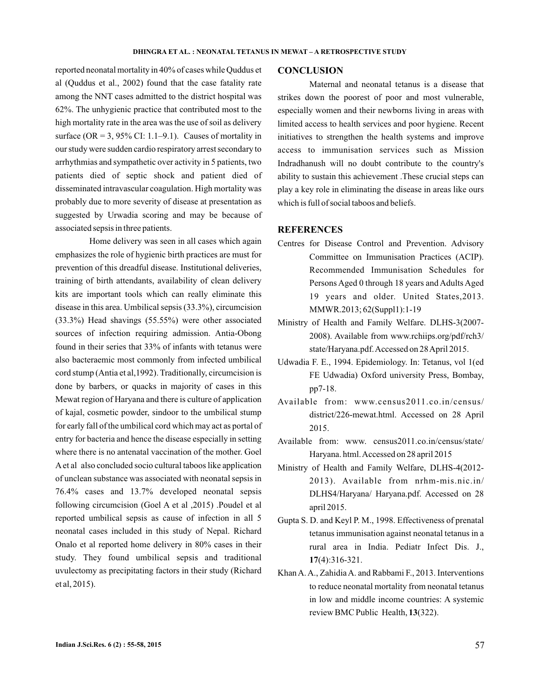reported neonatal mortality in 40% of cases while Quddus et al (Quddus et al., 2002) found that the case fatality rate among the NNT cases admitted to the district hospital was 62%. The unhygienic practice that contributed most to the high mortality rate in the area was the use of soil as delivery surface ( $OR = 3$ , 95% CI: 1.1–9.1). Causes of mortality in our study were sudden cardio respiratory arrest secondary to arrhythmias and sympathetic over activity in 5 patients, two patients died of septic shock and patient died of disseminated intravascular coagulation. High mortality was probably due to more severity of disease at presentation as suggested by Urwadia scoring and may be because of associated sepsis in three patients.

Home delivery was seen in all cases which again emphasizes the role of hygienic birth practices are must for prevention of this dreadful disease. Institutional deliveries, training of birth attendants, availability of clean delivery kits are important tools which can really eliminate this disease in this area. Umbilical sepsis (33.3%), circumcision (33.3%) Head shavings (55.55%) were other associated sources of infection requiring admission. Antia-Obong found in their series that 33% of infants with tetanus were also bacteraemic most commonly from infected umbilical cord stump (Antia et al,1992). Traditionally, circumcision is done by barbers, or quacks in majority of cases in this Mewat region of Haryana and there is culture of application of kajal, cosmetic powder, sindoor to the umbilical stump for early fall of the umbilical cord which may act as portal of entry for bacteria and hence the disease especially in setting where there is no antenatal vaccination of the mother. Goel Aet al also concluded socio cultural taboos like application of unclean substance was associated with neonatal sepsis in 76.4% cases and 13.7% developed neonatal sepsis following circumcision (Goel A et al ,2015) .Poudel et al reported umbilical sepsis as cause of infection in all 5 neonatal cases included in this study of Nepal. Richard Onalo et al reported home delivery in 80% cases in their study. They found umbilical sepsis and traditional uvulectomy as precipitating factors in their study (Richard et al, 2015).

### **CONCLUSION**

Maternal and neonatal tetanus is a disease that strikes down the poorest of poor and most vulnerable, especially women and their newborns living in areas with limited access to health services and poor hygiene. Recent initiatives to strengthen the health systems and improve access to immunisation services such as Mission Indradhanush will no doubt contribute to the country's ability to sustain this achievement .These crucial steps can play a key role in eliminating the disease in areas like ours which is full of social taboos and beliefs.

### **REFERENCES**

- Centres for Disease Control and Prevention. Advisory Committee on Immunisation Practices (ACIP). Recommended Immunisation Schedules for Persons Aged 0 through 18 years and Adults Aged 19 years and older. United States,2013. MMWR.2013; 62(Suppl1):1-19
- Ministry of Health and Family Welfare. DLHS-3(2007- 2008). Available from www.rchiips.org/pdf/rch3/ state/Haryana.pdf.Accessed on 28April 2015.
- Udwadia F. E., 1994. Epidemiology. In: Tetanus, vol 1(ed FE Udwadia) Oxford university Press, Bombay, pp7-18.
- Available from: www.census2011.co.in/census/ district/226-mewat.html. Accessed on 28 April 2015.
- Available from: www. census2011.co.in/census/state/ Haryana. html. Accessed on 28 april 2015
- Ministry of Health and Family Welfare, DLHS-4(2012- 2013). Available from nrhm-mis.nic.in/ DLHS4/Haryana/ Haryana.pdf. Accessed on 28 april 2015.
- Gupta S. D. and Keyl P. M., 1998. Effectiveness of prenatal tetanus immunisation against neonatal tetanus in a rural area in India. Pediatr Infect Dis. J., (4):316-321. **17**
- KhanA.A., ZahidiaA. and Rabbami F., 2013. Interventions to reduce neonatal mortality from neonatal tetanus in low and middle income countries: A systemic review BMC Public Health, 13(322).